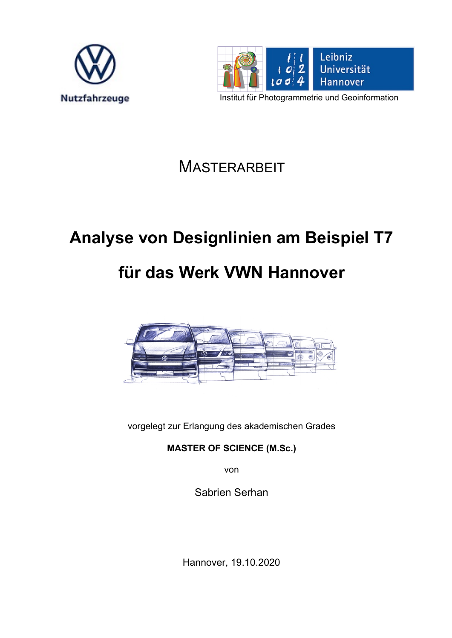



Institut für Photogrammetrie und Geoinformation

**MASTERARBEIT** 

## **Analyse von Designlinien am Beispiel T7**

## **für das Werk VWN Hannover**



vorgelegt zur Erlangung des akademischen Grades

**MASTER OF SCIENCE (M.Sc.)**

von

Sabrien Serhan

Hannover, 19.10.2020